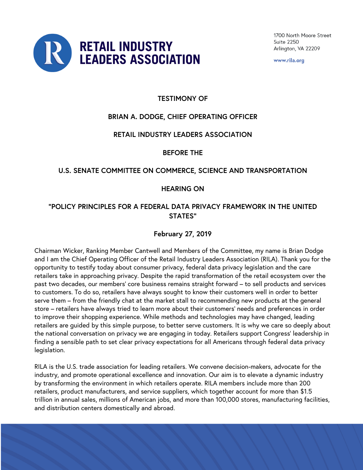

www.rila.org

## **TESTIMONY OF**

# **BRIAN A. DODGE, CHIEF OPERATING OFFICER**

### **RETAIL INDUSTRY LEADERS ASSOCIATION**

**BEFORE THE** 

### **U.S. SENATE COMMITTEE ON COMMERCE, SCIENCE AND TRANSPORTATION**

### **HEARING ON**

## **"POLICY PRINCIPLES FOR A FEDERAL DATA PRIVACY FRAMEWORK IN THE UNITED STATES"**

## **February 27, 2019**

Chairman Wicker, Ranking Member Cantwell and Members of the Committee, my name is Brian Dodge and I am the Chief Operating Officer of the Retail Industry Leaders Association (RILA). Thank you for the opportunity to testify today about consumer privacy, federal data privacy legislation and the care retailers take in approaching privacy. Despite the rapid transformation of the retail ecosystem over the past two decades, our members' core business remains straight forward – to sell products and services to customers. To do so, retailers have always sought to know their customers well in order to better serve them – from the friendly chat at the market stall to recommending new products at the general store – retailers have always tried to learn more about their customers' needs and preferences in order to improve their shopping experience. While methods and technologies may have changed, leading retailers are guided by this simple purpose, to better serve customers. It is why we care so deeply about the national conversation on privacy we are engaging in today. Retailers support Congress' leadership in finding a sensible path to set clear privacy expectations for all Americans through federal data privacy legislation.

RILA is the U.S. trade association for leading retailers. We convene decision-makers, advocate for the industry, and promote operational excellence and innovation. Our aim is to elevate a dynamic industry by transforming the environment in which retailers operate. RILA members include more than 200 retailers, product manufacturers, and service suppliers, which together account for more than \$1.5 trillion in annual sales, millions of American jobs, and more than 100,000 stores, manufacturing facilities, and distribution centers domestically and abroad.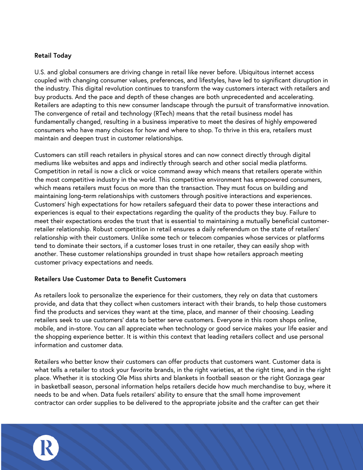### **Retail Today**

U.S. and global consumers are driving change in retail like never before. Ubiquitous internet access coupled with changing consumer values, preferences, and lifestyles, have led to significant disruption in the industry. This digital revolution continues to transform the way customers interact with retailers and buy products. And the pace and depth of these changes are both unprecedented and accelerating. Retailers are adapting to this new consumer landscape through the pursuit of transformative innovation. The convergence of retail and technology (RTech) means that the retail business model has fundamentally changed, resulting in a business imperative to meet the desires of highly empowered consumers who have many choices for how and where to shop. To thrive in this era, retailers must maintain and deepen trust in customer relationships.

Customers can still reach retailers in physical stores and can now connect directly through digital mediums like websites and apps and indirectly through search and other social media platforms. Competition in retail is now a click or voice command away which means that retailers operate within the most competitive industry in the world. This competitive environment has empowered consumers, which means retailers must focus on more than the transaction. They must focus on building and maintaining long-term relationships with customers through positive interactions and experiences. Customers' high expectations for how retailers safeguard their data to power these interactions and experiences is equal to their expectations regarding the quality of the products they buy. Failure to meet their expectations erodes the trust that is essential to maintaining a mutually beneficial customerretailer relationship. Robust competition in retail ensures a daily referendum on the state of retailers' relationship with their customers. Unlike some tech or telecom companies whose services or platforms tend to dominate their sectors, if a customer loses trust in one retailer, they can easily shop with another. These customer relationships grounded in trust shape how retailers approach meeting customer privacy expectations and needs.

### **Retailers Use Customer Data to Benefit Customers**

As retailers look to personalize the experience for their customers, they rely on data that customers provide, and data that they collect when customers interact with their brands, to help those customers find the products and services they want at the time, place, and manner of their choosing. Leading retailers seek to use customers' data to better serve customers. Everyone in this room shops online, mobile, and in-store. You can all appreciate when technology or good service makes your life easier and the shopping experience better. It is within this context that leading retailers collect and use personal information and customer data.

Retailers who better know their customers can offer products that customers want. Customer data is what tells a retailer to stock your favorite brands, in the right varieties, at the right time, and in the right place. Whether it is stocking Ole Miss shirts and blankets in football season or the right Gonzaga gear in basketball season, personal information helps retailers decide how much merchandise to buy, where it needs to be and when. Data fuels retailers' ability to ensure that the small home improvement contractor can order supplies to be delivered to the appropriate jobsite and the crafter can get their

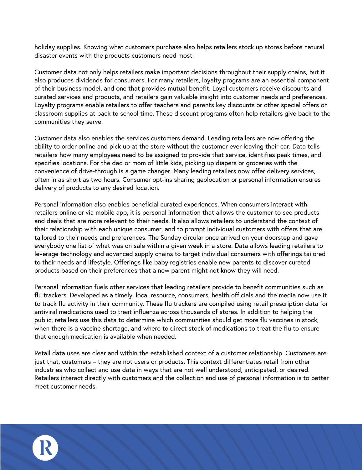holiday supplies. Knowing what customers purchase also helps retailers stock up stores before natural disaster events with the products customers need most.

Customer data not only helps retailers make important decisions throughout their supply chains, but it also produces dividends for consumers. For many retailers, loyalty programs are an essential component of their business model, and one that provides mutual benefit. Loyal customers receive discounts and curated services and products, and retailers gain valuable insight into customer needs and preferences. Loyalty programs enable retailers to offer teachers and parents key discounts or other special offers on classroom supplies at back to school time. These discount programs often help retailers give back to the communities they serve.

Customer data also enables the services customers demand. Leading retailers are now offering the ability to order online and pick up at the store without the customer ever leaving their car. Data tells retailers how many employees need to be assigned to provide that service, identifies peak times, and specifies locations. For the dad or mom of little kids, picking up diapers or groceries with the convenience of drive-through is a game changer. Many leading retailers now offer delivery services, often in as short as two hours. Consumer opt-ins sharing geolocation or personal information ensures delivery of products to any desired location.

Personal information also enables beneficial curated experiences. When consumers interact with retailers online or via mobile app, it is personal information that allows the customer to see products and deals that are more relevant to their needs. It also allows retailers to understand the context of their relationship with each unique consumer, and to prompt individual customers with offers that are tailored to their needs and preferences. The Sunday circular once arrived on your doorstep and gave everybody one list of what was on sale within a given week in a store. Data allows leading retailers to leverage technology and advanced supply chains to target individual consumers with offerings tailored to their needs and lifestyle. Offerings like baby registries enable new parents to discover curated products based on their preferences that a new parent might not know they will need.

Personal information fuels other services that leading retailers provide to benefit communities such as flu trackers. Developed as a timely, local resource, consumers, health officials and the media now use it to track flu activity in their community. These flu trackers are compiled using retail prescription data for antiviral medications used to treat influenza across thousands of stores. In addition to helping the public, retailers use this data to determine which communities should get more flu vaccines in stock, when there is a vaccine shortage, and where to direct stock of medications to treat the flu to ensure that enough medication is available when needed.

Retail data uses are clear and within the established context of a customer relationship. Customers are just that, customers – they are not users or products. This context differentiates retail from other industries who collect and use data in ways that are not well understood, anticipated, or desired. Retailers interact directly with customers and the collection and use of personal information is to better meet customer needs.

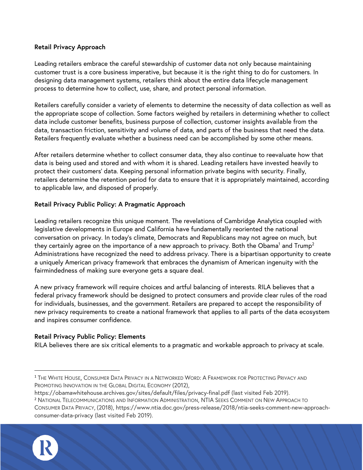### **Retail Privacy Approach**

Leading retailers embrace the careful stewardship of customer data not only because maintaining customer trust is a core business imperative, but because it is the right thing to do for customers. In designing data management systems, retailers think about the entire data lifecycle management process to determine how to collect, use, share, and protect personal information.

Retailers carefully consider a variety of elements to determine the necessity of data collection as well as the appropriate scope of collection. Some factors weighed by retailers in determining whether to collect data include customer benefits, business purpose of collection, customer insights available from the data, transaction friction, sensitivity and volume of data, and parts of the business that need the data. Retailers frequently evaluate whether a business need can be accomplished by some other means.

After retailers determine whether to collect consumer data, they also continue to reevaluate how that data is being used and stored and with whom it is shared. Leading retailers have invested heavily to protect their customers' data. Keeping personal information private begins with security. Finally, retailers determine the retention period for data to ensure that it is appropriately maintained, according to applicable law, and disposed of properly.

### **Retail Privacy Public Policy: A Pragmatic Approach**

Leading retailers recognize this unique moment. The revelations of Cambridge Analytica coupled with legislative developments in Europe and California have fundamentally reoriented the national conversation on privacy. In today's climate, Democrats and Republicans may not agree on much, but they certainly agree on the importance of a new approach to privacy. Both the Obama<sup>1</sup> and Trump<sup>2</sup> Administrations have recognized the need to address privacy. There is a bipartisan opportunity to create a uniquely American privacy framework that embraces the dynamism of American ingenuity with the fairmindedness of making sure everyone gets a square deal.

A new privacy framework will require choices and artful balancing of interests. RILA believes that a federal privacy framework should be designed to protect consumers and provide clear rules of the road for individuals, businesses, and the government. Retailers are prepared to accept the responsibility of new privacy requirements to create a national framework that applies to all parts of the data ecosystem and inspires consumer confidence.

#### **Retail Privacy Public Policy: Elements**

RILA believes there are six critical elements to a pragmatic and workable approach to privacy at scale.

CONSUMER DATA PRIVACY, (2018), https://www.ntia.doc.gov/press-release/2018/ntia-seeks-comment-new-approachconsumer-data-privacy (last visited Feb 2019).



 <sup>1</sup> THE WHITE HOUSE, CONSUMER DATA PRIVACY IN A NETWORKED WORD: <sup>A</sup> FRAMEWORK FOR PROTECTING PRIVACY AND PROMOTING INNOVATION IN THE GLOBAL DIGITAL ECONOMY (2012),

https://obamawhitehouse.archives.gov/sites/default/files/privacy-final.pdf (last visited Feb 2019).

<sup>2</sup> NATIONAL TELECOMMUNICATIONS AND INFORMATION ADMINISTRATION, NTIA SEEKS COMMENT ON NEW APPROACH TO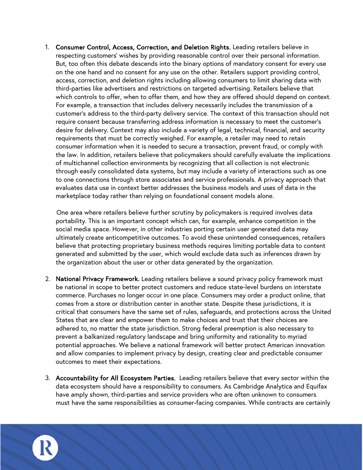1. Consumer Control, Access, Correction, and Deletion Rights. Leading retailers believe in respecting customers' wishes by providing reasonable control over their personal information. But, too often this debate descends into the binary options of mandatory consent for every use on the one hand and no consent for any use on the other. Retailers support providing control, access, correction, and deletion rights including allowing consumers to limit sharing data with third-parties like advertisers and restrictions on targeted advertising. Retailers believe that which controls to offer, when to offer them, and how they are offered should depend on context. For example, a transaction that includes delivery necessarily includes the transmission of a customer's address to the third-party delivery service. The context of this transaction should not require consent because transferring address information is necessary to meet the customer's desire for delivery. Context may also include a variety of legal, technical, financial, and security requirements that must be correctly weighed. For example, a retailer may need to retain consumer information when it is needed to secure a transaction, prevent fraud, or comply with the law. In addition, retailers believe that policymakers should carefully evaluate the implications of multichannel collection environments by recognizing that all collection is not electronic through easily consolidated data systems, but may include a variety of interactions such as one to one connections through store associates and service professionals. A privacy approach that evaluates data use in context better addresses the business models and uses of data in the marketplace today rather than relying on foundational consent models alone.

One area where retailers believe further scrutiny by policymakers is required involves data portability. This is an important concept which can, for example, enhance competition in the social media space. However, in other industries porting certain user generated data may ultimately create anticompetitive outcomes. To avoid these unintended consequences, retailers believe that protecting proprietary business methods requires limiting portable data to content generated and submitted by the user, which would exclude data such as inferences drawn by the organization about the user or other data generated by the organization.

- 2. National Privacy Framework. Leading retailers believe a sound privacy policy framework must be national in scope to better protect customers and reduce state-level burdens on interstate commerce. Purchases no longer occur in one place. Consumers may order a product online, that comes from a store or distribution center in another state. Despite these jurisdictions, it is critical that consumers have the same set of rules, safeguards, and protections across the United States that are clear and empower them to make choices and trust that their choices are adhered to, no matter the state jurisdiction. Strong federal preemption is also necessary to prevent a balkanized regulatory landscape and bring uniformity and rationality to myriad potential approaches. We believe a national framework will better protect American innovation and allow companies to implement privacy by design, creating clear and predictable consumer outcomes to meet their expectations.
- 3. Accountability for All Ecosystem Parties. Leading retailers believe that every sector within the data ecosystem should have a responsibility to consumers. As Cambridge Analytica and Equifax have amply shown, third-parties and service providers who are often unknown to consumers must have the same responsibilities as consumer-facing companies. While contracts are certainly

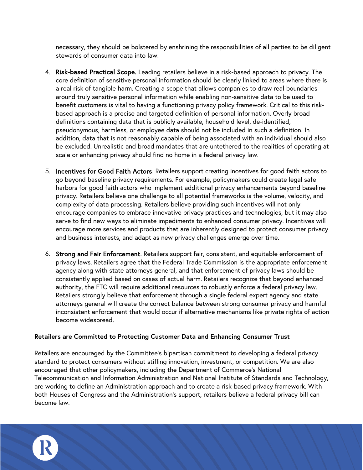necessary, they should be bolstered by enshrining the responsibilities of all parties to be diligent stewards of consumer data into law.

- 4. Risk-based Practical Scope. Leading retailers believe in a risk-based approach to privacy. The core definition of sensitive personal information should be clearly linked to areas where there is a real risk of tangible harm. Creating a scope that allows companies to draw real boundaries around truly sensitive personal information while enabling non-sensitive data to be used to benefit customers is vital to having a functioning privacy policy framework. Critical to this riskbased approach is a precise and targeted definition of personal information. Overly broad definitions containing data that is publicly available, household level, de-identified, pseudonymous, harmless, or employee data should not be included in such a definition. In addition, data that is not reasonably capable of being associated with an individual should also be excluded. Unrealistic and broad mandates that are untethered to the realities of operating at scale or enhancing privacy should find no home in a federal privacy law.
- 5. Incentives for Good Faith Actors. Retailers support creating incentives for good faith actors to go beyond baseline privacy requirements. For example, policymakers could create legal safe harbors for good faith actors who implement additional privacy enhancements beyond baseline privacy. Retailers believe one challenge to all potential frameworks is the volume, velocity, and complexity of data processing. Retailers believe providing such incentives will not only encourage companies to embrace innovative privacy practices and technologies, but it may also serve to find new ways to eliminate impediments to enhanced consumer privacy. Incentives will encourage more services and products that are inherently designed to protect consumer privacy and business interests, and adapt as new privacy challenges emerge over time.
- 6. Strong and Fair Enforcement. Retailers support fair, consistent, and equitable enforcement of privacy laws. Retailers agree that the Federal Trade Commission is the appropriate enforcement agency along with state attorneys general, and that enforcement of privacy laws should be consistently applied based on cases of actual harm. Retailers recognize that beyond enhanced authority, the FTC will require additional resources to robustly enforce a federal privacy law. Retailers strongly believe that enforcement through a single federal expert agency and state attorneys general will create the correct balance between strong consumer privacy and harmful inconsistent enforcement that would occur if alternative mechanisms like private rights of action become widespread.

#### **Retailers are Committed to Protecting Customer Data and Enhancing Consumer Trust**

Retailers are encouraged by the Committee's bipartisan commitment to developing a federal privacy standard to protect consumers without stifling innovation, investment, or competition. We are also encouraged that other policymakers, including the Department of Commerce's National Telecommunication and Information Administration and National Institute of Standards and Technology, are working to define an Administration approach and to create a risk-based privacy framework. With both Houses of Congress and the Administration's support, retailers believe a federal privacy bill can become law.